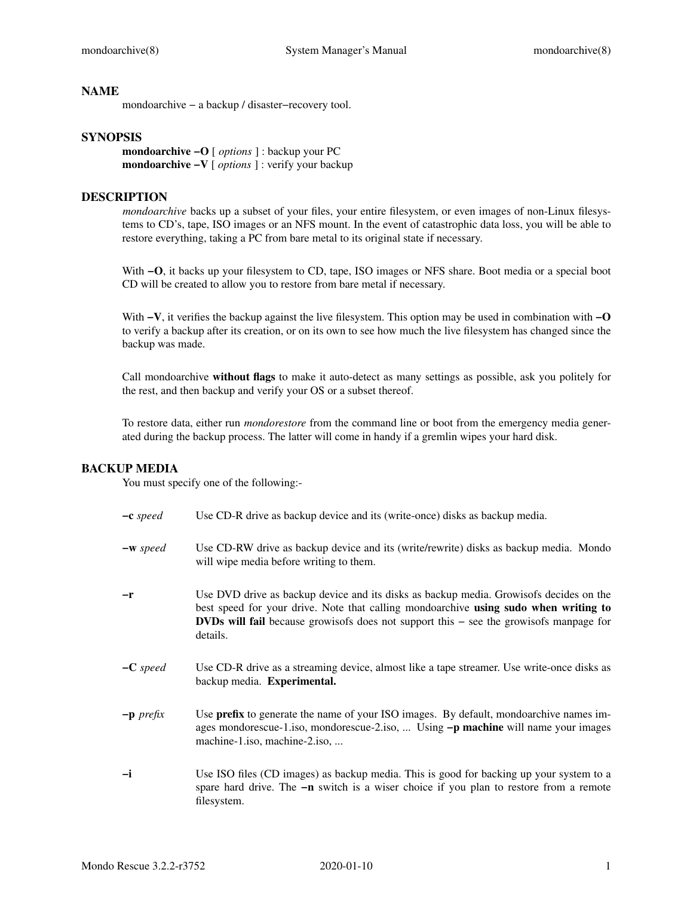### **NAME**

mondoarchive − a backup / disaster−recovery tool.

### **SYNOPSIS**

**mondoarchive −O** [ *options* ]:backup your PC **mondoarchive −V** [ *options* ]: verify your backup

### **DESCRIPTION**

*mondoarchive* backs up a subset of your files, your entire filesystem, or even images of non-Linux filesystems to CD's, tape, ISO images or an NFS mount. In the event of catastrophic data loss, you will be able to restore everything, taking a PC from bare metal to its original state if necessary.

With **−O**, it backs up your filesystem to CD, tape, ISO images or NFS share. Boot media or a special boot CD will be created to allow you to restore from bare metal if necessary.

With **−V**, it verifies the backup against the live filesystem. This option may be used in combination with **−O** to verify a backup after its creation, or on its own to see how much the live filesystem has changed since the backup was made.

Call mondoarchive **without flags** to make it auto-detect as many settings as possible, ask you politely for the rest, and then backup and verify your OS or a subset thereof.

To restore data, either run *mondorestore* from the command line or boot from the emergency media generated during the backup process. The latter will come in handy if a gremlin wipes your hard disk.

#### **BACKUP MEDIA**

You must specify one of the following:-

| $-c$ speed  | Use CD-R drive as backup device and its (write-once) disks as backup media.                                                                                                                                                                                                                   |
|-------------|-----------------------------------------------------------------------------------------------------------------------------------------------------------------------------------------------------------------------------------------------------------------------------------------------|
| $-w$ speed  | Use CD-RW drive as backup device and its (write/rewrite) disks as backup media. Mondo<br>will wipe media before writing to them.                                                                                                                                                              |
| -r          | Use DVD drive as backup device and its disks as backup media. Growisofs decides on the<br>best speed for your drive. Note that calling mondoarchive using sudo when writing to<br><b>DVDs will fail</b> because growisofs does not support this $-$ see the growisofs manpage for<br>details. |
| $-C$ speed  | Use CD-R drive as a streaming device, almost like a tape streamer. Use write-once disks as<br>backup media. Experimental.                                                                                                                                                                     |
| $-p$ prefix | Use prefix to generate the name of your ISO images. By default, mondoarchive names im-<br>ages mondorescue-1.iso, mondorescue-2.iso,  Using -p machine will name your images<br>machine-1.iso, machine-2.iso,                                                                                 |
| $-i$        | Use ISO files (CD images) as backup media. This is good for backing up your system to a<br>spare hard drive. The -n switch is a wiser choice if you plan to restore from a remote<br>filesystem.                                                                                              |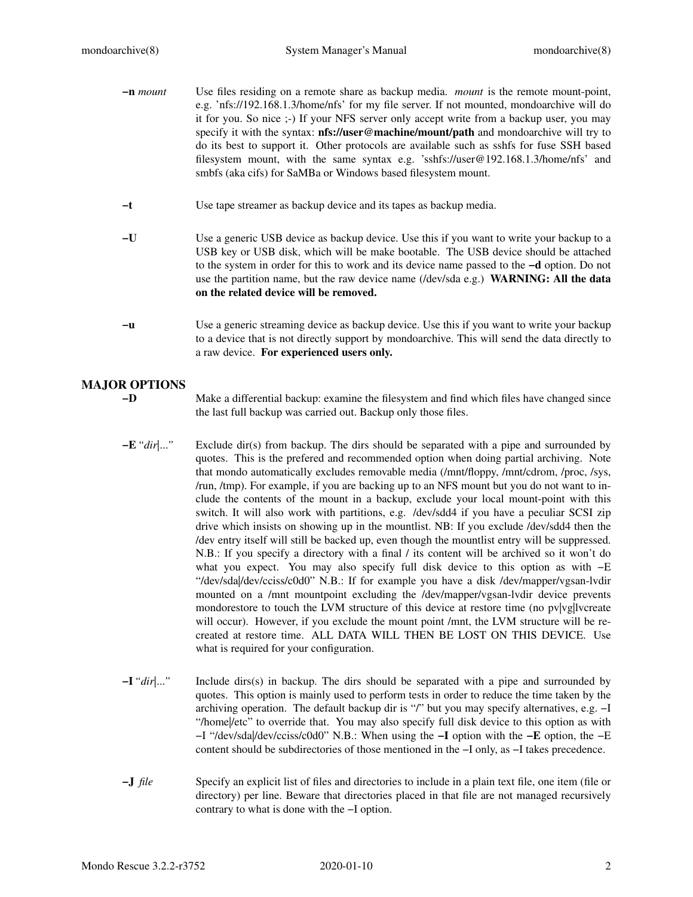- **−n** *mount* Use files residing on a remote share as backup media. *mount* is the remote mount-point, e.g. 'nfs://192.168.1.3/home/nfs' for my file server. If not mounted, mondoarchive will do it for you. So nice ;-) If your NFS server only accept write from a backup user, you may specify it with the syntax: **nfs://user@machine/mount/path** and mondoarchive will try to do its best to support it. Other protocols are available such as sshfs for fuse SSH based filesystem mount, with the same syntax e.g. 'sshfs://user@192.168.1.3/home/nfs' and smbfs (aka cifs) for SaMBa or Windows based filesystem mount.
- **−t** Use tape streamer as backup device and its tapes as backup media.
- **−U** Use a generic USB device as backup device. Use this if you want to write your backup to a USB key or USB disk, which will be make bootable. The USB device should be attached to the system in order for this to work and its device name passed to the **−d** option. Do not use the partition name, but the raw device name (/dev/sda e.g.) **WARNING: All the data on the related device will be removed.**
- **−u** Use a generic streaming device as backup device. Use this if you want to write your backup to a device that is not directly support by mondoarchive. This will send the data directly to a raw device. **For experienced users only.**

# **MAJOR OPTIONS**

**−D** Make a differential backup: examine the filesystem and find which files have changed since the last full backup was carried out. Backup only those files.

- **−E***"dir|..."* Exclude dir(s) from backup. The dirs should be separated with a pipe and surrounded by quotes. This is the prefered and recommended option when doing partial archiving. Note that mondo automatically excludes removable media (/mnt/floppy, /mnt/cdrom, /proc, /sys, /run, /tmp). For example, if you are backing up to an NFS mount but you do not want to include the contents of the mount in a backup, exclude your local mount-point with this switch. It will also work with partitions, e.g. /dev/sdd4 if you have a peculiar SCSI zip drive which insists on showing up in the mountlist. NB: If you exclude /dev/sdd4 then the /dev entry itself will still be backed up, even though the mountlist entry will be suppressed. N.B.: If you specify a directory with a final / its content will be archived so it won't do what you expect. You may also specify full disk device to this option as with −E "/dev/sda|/dev/cciss/c0d0" N.B.: If for example you have a disk /dev/mapper/vgsan-lvdir mounted on a /mnt mountpoint excluding the /dev/mapper/vgsan-lvdir device prevents mondorestore to touch the LVM structure of this device at restore time (no  $pv|vg|$ lvcreate will occur). However, if you exclude the mount point /mnt, the LVM structure will be recreated at restore time. ALL DATA WILL THEN BE LOST ON THIS DEVICE. Use what is required for your configuration.
- **−I***"dir|..."* Include dirs(s) in backup. The dirs should be separated with a pipe and surrounded by quotes. This option is mainly used to perform tests in order to reduce the time taken by the archiving operation. The default backup dir is "/" but you may specify alternatives, e.g. −I "/home|/etc" to override that. You may also specify full disk device to this option as with −I "/dev/sda|/dev/cciss/c0d0" N.B.: When using the **−I** option with the **−E** option, the −E content should be subdirectories of those mentioned in the −I only, as −I takes precedence.
- **−J** *file* Specify an explicit list of files and directories to include in a plain text file, one item (file or directory) per line. Beware that directories placed in that file are not managed recursively contrary to what is done with the −I option.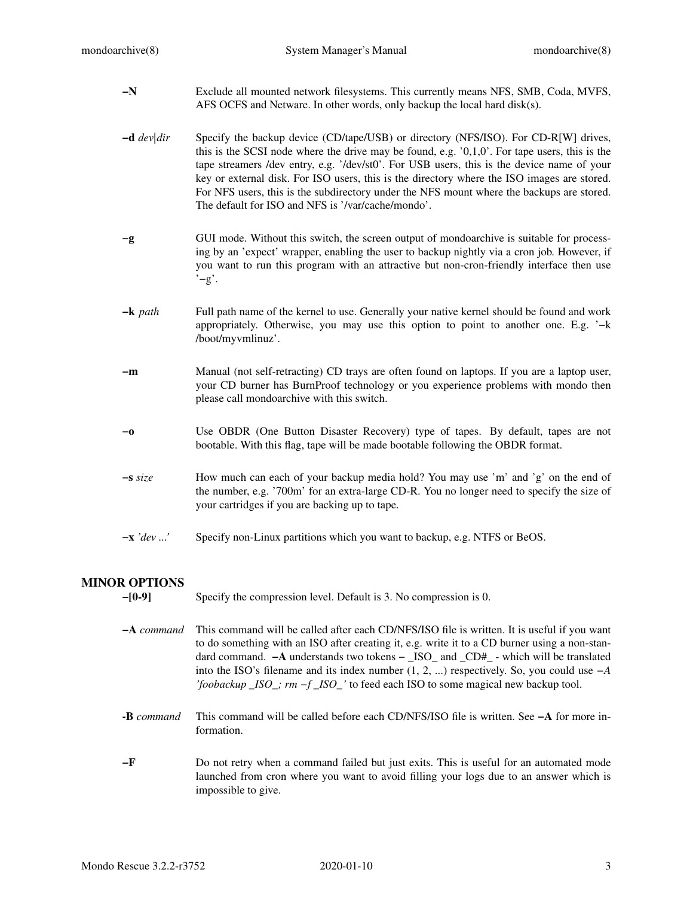- **−N** Exclude all mounted network filesystems. This currently means NFS, SMB, Coda, MVFS, AFS OCFS and Netware. In other words, only backup the local hard disk(s).
- **−d** *dev|dir* Specify the backup device (CD/tape/USB) or directory (NFS/ISO). For CD-R[W] drives, this is the SCSI node where the drive may be found, e.g. '0,1,0'. For tape users, this is the tape streamers /dev entry, e.g. '/dev/st0'. For USB users, this is the device name of your key or external disk. For ISO users, this is the directory where the ISO images are stored. For NFS users, this is the subdirectory under the NFS mount where the backups are stored. The default for ISO and NFS is '/var/cache/mondo'.
- **−g** GUI mode. Without this switch, the screen output of mondoarchive is suitable for processing by an 'expect' wrapper, enabling the user to backup nightly via a cron job. However, if you want to run this program with an attractive but non-cron-friendly interface then use '−g'.
- **−k** *path* Full path name of the kernel to use. Generally your native kernel should be found and work appropriately. Otherwise, you may use this option to point to another one. E.g. '−k /boot/myvmlinuz'.
- **−m** Manual (not self-retracting) CD trays are often found on laptops. If you are a laptop user, your CD burner has BurnProof technology or you experience problems with mondo then please call mondoarchive with this switch.
- **−o** Use OBDR (One Button Disaster Recovery) type of tapes. By default, tapes are not bootable. With this flag, tape will be made bootable following the OBDR format.
- **−s** *size* How much can each of your backup media hold? You may use 'm' and 'g' on the end of the number, e.g. '700m' for an extra-large CD-R. You no longer need to specify the size of your cartridges if you are backing up to tape.
- **−x** *'dev ...'* Specify non-Linux partitions which you want to backup, e.g. NTFS or BeOS.

# **MINOR OPTIONS**

**−[0-9]** Specify the compression level. Default is 3. No compression is 0.

- **−A** *command* This command will be called after each CD/NFS/ISO file is written. It is useful if you want to do something with an ISO after creating it, e.g. write it to a CD burner using a non-standard command. **−A** understands two tokens − \_ISO\_ and \_CD#\_ - which will be translated into the ISO's filename and its index number (1, 2, ...) respectively. So, you could use *−A 'foobackup \_ISO\_; rm −f \_ISO\_'* to feed each ISO to some magical new backup tool.
- **-B** *command* This command will be called before each CD/NFS/ISO file is written. See **−A** for more information.
- **−F** Do not retry when a command failed but just exits. This is useful for an automated mode launched from cron where you want to avoid filling your logs due to an answer which is impossible to give.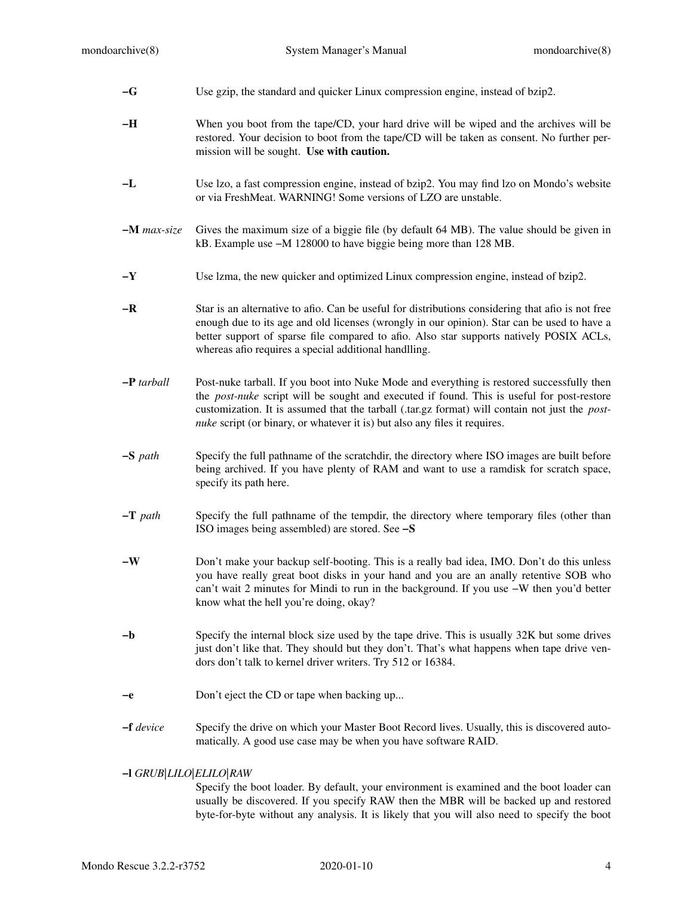| $-G$                                                                                                                                                                                                               | Use gzip, the standard and quicker Linux compression engine, instead of bzip2.                                                                                                                                                                                                                                                                                                  |
|--------------------------------------------------------------------------------------------------------------------------------------------------------------------------------------------------------------------|---------------------------------------------------------------------------------------------------------------------------------------------------------------------------------------------------------------------------------------------------------------------------------------------------------------------------------------------------------------------------------|
| $-H$                                                                                                                                                                                                               | When you boot from the tape/CD, your hard drive will be wiped and the archives will be<br>restored. Your decision to boot from the tape/CD will be taken as consent. No further per-<br>mission will be sought. Use with caution.                                                                                                                                               |
| $-L$                                                                                                                                                                                                               | Use Izo, a fast compression engine, instead of bzip2. You may find Izo on Mondo's website<br>or via FreshMeat. WARNING! Some versions of LZO are unstable.                                                                                                                                                                                                                      |
| $-M$ max-size                                                                                                                                                                                                      | Gives the maximum size of a biggie file (by default 64 MB). The value should be given in<br>kB. Example use -M 128000 to have biggie being more than 128 MB.                                                                                                                                                                                                                    |
| $-Y$                                                                                                                                                                                                               | Use Izma, the new quicker and optimized Linux compression engine, instead of bzip2.                                                                                                                                                                                                                                                                                             |
| $-R$                                                                                                                                                                                                               | Star is an alternative to afio. Can be useful for distributions considering that afio is not free<br>enough due to its age and old licenses (wrongly in our opinion). Star can be used to have a<br>better support of sparse file compared to afio. Also star supports natively POSIX ACLs,<br>whereas afio requires a special additional handlling.                            |
| $-P$ tarball                                                                                                                                                                                                       | Post-nuke tarball. If you boot into Nuke Mode and everything is restored successfully then<br>the <i>post-nuke</i> script will be sought and executed if found. This is useful for post-restore<br>customization. It is assumed that the tarball (.tar.gz format) will contain not just the post-<br>nuke script (or binary, or whatever it is) but also any files it requires. |
| $-S$ path                                                                                                                                                                                                          | Specify the full pathname of the scratchdir, the directory where ISO images are built before<br>being archived. If you have plenty of RAM and want to use a ramdisk for scratch space,<br>specify its path here.                                                                                                                                                                |
| $-T$ path                                                                                                                                                                                                          | Specify the full pathname of the tempdir, the directory where temporary files (other than<br>ISO images being assembled) are stored. See -S                                                                                                                                                                                                                                     |
| $-W$                                                                                                                                                                                                               | Don't make your backup self-booting. This is a really bad idea, IMO. Don't do this unless<br>you have really great boot disks in your hand and you are an anally retentive SOB who<br>can't wait 2 minutes for Mindi to run in the background. If you use -W then you'd better<br>know what the hell you're doing, okay?                                                        |
| $-\mathbf{b}$                                                                                                                                                                                                      | Specify the internal block size used by the tape drive. This is usually 32K but some drives<br>just don't like that. They should but they don't. That's what happens when tape drive ven-<br>dors don't talk to kernel driver writers. Try 512 or 16384.                                                                                                                        |
| -е                                                                                                                                                                                                                 | Don't eject the CD or tape when backing up                                                                                                                                                                                                                                                                                                                                      |
| $-\mathbf{f}$ device                                                                                                                                                                                               | Specify the drive on which your Master Boot Record lives. Usually, this is discovered auto-<br>matically. A good use case may be when you have software RAID.                                                                                                                                                                                                                   |
| $-$ I GRUB $ LILO ELLO $ RAW<br>Specify the boot loader. By default, your environment is examined and the boot loader can<br>usually be discovered. If you specify RAW then the MBR will be backed up and restored |                                                                                                                                                                                                                                                                                                                                                                                 |

byte-for-byte without any analysis. It is likely that you will also need to specify the boot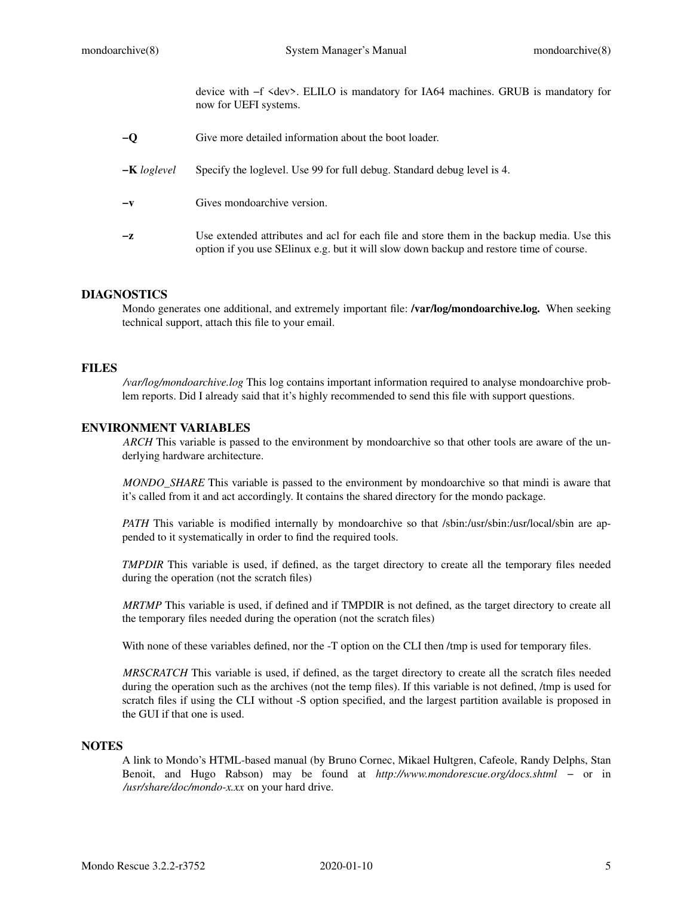device with −f <dev>. ELILO is mandatory for IA64 machines. GRUB is mandatory for now for UEFI systems.

| $-\mathbf{O}$  | Give more detailed information about the boot loader.                                                                                                                                  |
|----------------|----------------------------------------------------------------------------------------------------------------------------------------------------------------------------------------|
| $-K\log level$ | Specify the loglevel. Use 99 for full debug. Standard debug level is 4.                                                                                                                |
| $-\mathbf{v}$  | Gives mondoarchive version.                                                                                                                                                            |
| $-z$           | Use extended attributes and act for each file and store them in the backup media. Use this<br>option if you use SE linux e.g. but it will slow down backup and restore time of course. |

## **DIAGNOSTICS**

Mondo generates one additional, and extremely important file: **/var/log/mondoarchive.log.** When seeking technical support, attach this file to your email.

# **FILES**

*/var/log/mondoarchive.log* This log contains important information required to analyse mondoarchive problem reports. Did I already said that it's highly recommended to send this file with support questions.

## **ENVIRONMENT VARIABLES**

*ARCH* This variable is passed to the environment by mondoarchive so that other tools are aware of the underlying hardware architecture.

*MONDO\_SHARE* This variable is passed to the environment by mondoarchive so that mindi is aware that it's called from it and act accordingly. It contains the shared directory for the mondo package.

*PATH* This variable is modified internally by mondoarchive so that /sbin:/usr/sbin:/usr/local/sbin are appended to it systematically in order to find the required tools.

*TMPDIR* This variable is used, if defined, as the target directory to create all the temporary files needed during the operation (not the scratch files)

*MRTMP* This variable is used, if defined and if TMPDIR is not defined, as the target directory to create all the temporary files needed during the operation (not the scratch files)

With none of these variables defined, nor the -T option on the CLI then /tmp is used for temporary files.

*MRSCRATCH* This variable is used, if defined, as the target directory to create all the scratch files needed during the operation such as the archives (not the temp files). If this variable is not defined, /tmp is used for scratch files if using the CLI without -S option specified, and the largest partition available is proposed in the GUI if that one is used.

### **NOTES**

A link to Mondo's HTML-based manual (by Bruno Cornec, Mikael Hultgren, Cafeole, Randy Delphs, Stan Benoit, and Hugo Rabson) may be found at *http://www.mondorescue.org/docs.shtml* − or in */usr/share/doc/mondo-x.xx* on your hard drive.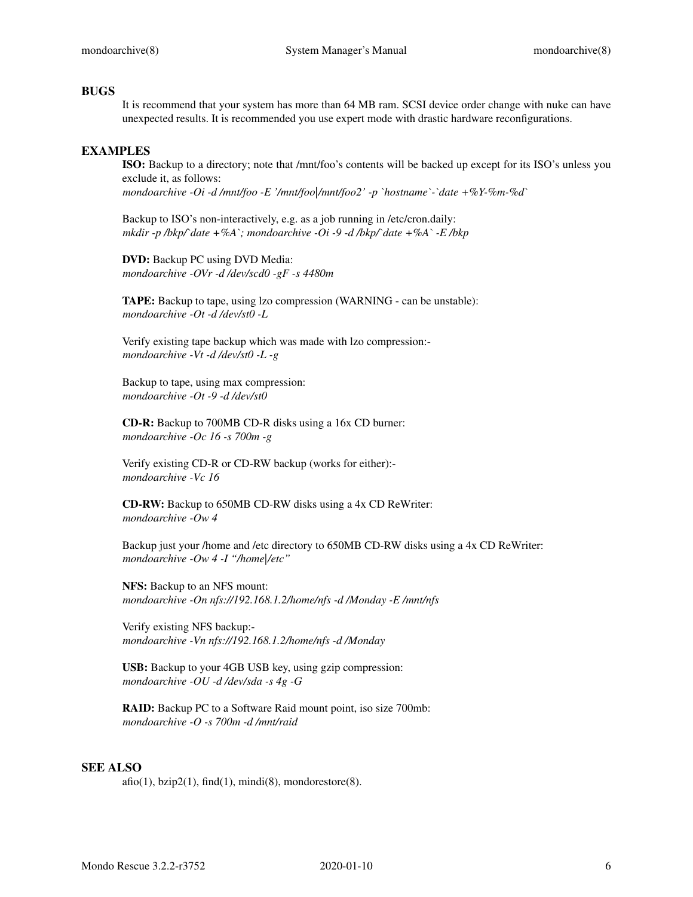### **BUGS**

It is recommend that your system has more than 64 MB ram. SCSI device order change with nuke can have unexpected results. It is recommended you use expert mode with drastic hardware reconfigurations.

## **EXAMPLES**

**ISO:** Backup to a directory; note that /mnt/foo's contents will be backed up except for its ISO's unless you exclude it, as follows: *mondoarchive -Oi -d /mnt/foo -E '/mnt/foo|/mnt/foo2' -p `hostname`-`date +%Y-%m-%d`*

Backup to ISO's non-interactively, e.g. as a job running in /etc/cron.daily: *mkdir -p /bkp/`date +%A`; mondoarchive -Oi -9 -d /bkp/`date +%A` -E /bkp*

**DVD:** Backup PC using DVD Media: *mondoarchive -OVr -d /dev/scd0 -gF -s 4480m*

**TAPE:** Backup to tape, using lzo compression (WARNING - can be unstable): *mondoarchive -Ot -d /dev/st0 -L*

Verify existing tape backup which was made with lzo compression: *mondoarchive -Vt -d /dev/st0 -L -g*

Backup to tape, using max compression: *mondoarchive -Ot -9 -d /dev/st0*

**CD-R:** Backup to 700MB CD-R disks using a 16x CD burner: *mondoarchive -Oc 16 -s 700m -g*

Verify existing CD-R or CD-RW backup (works for either): *mondoarchive -Vc 16*

**CD-RW:** Backup to 650MB CD-RW disks using a 4x CD ReWriter: *mondoarchive -Ow 4*

Backup just your /home and /etc directory to 650MB CD-RW disks using a 4x CD ReWriter: *mondoarchive -Ow 4 -I "/home|/etc"*

**NFS:** Backup to an NFS mount: *mondoarchive -On nfs://192.168.1.2/home/nfs -d /Monday -E /mnt/nfs*

Verify existing NFS backup: *mondoarchive -Vn nfs://192.168.1.2/home/nfs -d /Monday*

**USB:** Backup to your 4GB USB key, using gzip compression: *mondoarchive -OU -d /dev/sda -s 4g -G*

**RAID:** Backup PC to a Software Raid mount point, iso size 700mb: *mondoarchive -O -s 700m -d /mnt/raid*

#### **SEE ALSO**

 $afo(1)$ ,  $bzip2(1)$ ,  $find(1)$ ,  $mindi(8)$ , mondorestore $(8)$ .